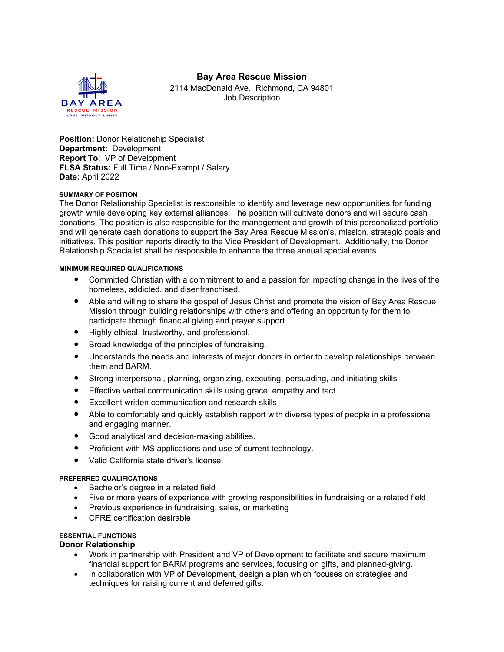# **Bay Area Rescue Mission**



2114 MacDonald Ave. Richmond, CA 94801 Job Description

**Position:** Donor Relationship Specialist **Department:** Development **Report To**: VP of Development **FLSA Status:** Full Time / Non-Exempt / Salary **Date:** April 2022

# **SUMMARY OF POSITION**

The Donor Relationship Specialist is responsible to identify and leverage new opportunities for funding growth while developing key external alliances. The position will cultivate donors and will secure cash donations. The position is also responsible for the management and growth of this personalized portfolio and will generate cash donations to support the Bay Area Rescue Mission's, mission, strategic goals and initiatives. This position reports directly to the Vice President of Development. Additionally, the Donor Relationship Specialist shall be responsible to enhance the three annual special events.

#### **MINIMUM REQUIRED QUALIFICATIONS**

- Committed Christian with a commitment to and a passion for impacting change in the lives of the homeless, addicted, and disenfranchised.
- Able and willing to share the gospel of Jesus Christ and promote the vision of Bay Area Rescue Mission through building relationships with others and offering an opportunity for them to participate through financial giving and prayer support.
- Highly ethical, trustworthy, and professional.
- Broad knowledge of the principles of fundraising.
- Understands the needs and interests of major donors in order to develop relationships between them and BARM.
- Strong interpersonal, planning, organizing, executing, persuading, and initiating skills
- **•** Effective verbal communication skills using grace, empathy and tact.
- Excellent written communication and research skills
- Able to comfortably and quickly establish rapport with diverse types of people in a professional and engaging manner.
- Good analytical and decision-making abilities.
- Proficient with MS applications and use of current technology.
- Valid California state driver's license.

# **PREFERRED QUALIFICATIONS**

- Bachelor's degree in a related field
- Five or more years of experience with growing responsibilities in fundraising or a related field
- Previous experience in fundraising, sales, or marketing
- CFRE certification desirable

# **ESSENTIAL FUNCTIONS**

# **Donor Relationship**

- Work in partnership with President and VP of Development to facilitate and secure maximum financial support for BARM programs and services, focusing on gifts, and planned-giving.
- In collaboration with VP of Development, design a plan which focuses on strategies and techniques for raising current and deferred gifts: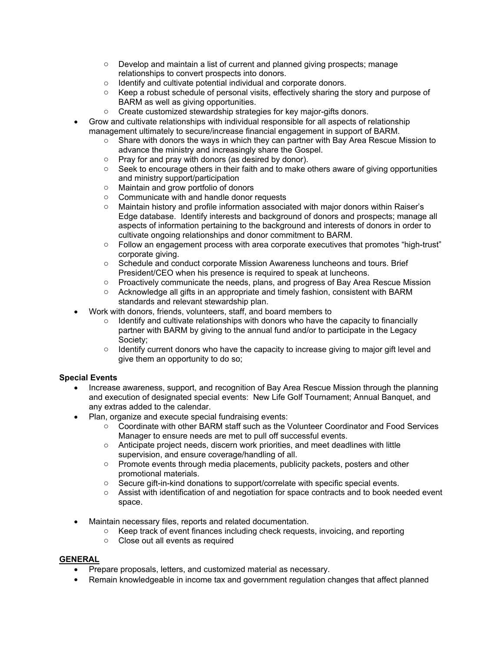- $\circ$  Develop and maintain a list of current and planned giving prospects; manage relationships to convert prospects into donors.
- o Identify and cultivate potential individual and corporate donors.
- $\circ$  Keep a robust schedule of personal visits, effectively sharing the story and purpose of BARM as well as giving opportunities.
- o Create customized stewardship strategies for key major-gifts donors.
- Grow and cultivate relationships with individual responsible for all aspects of relationship management ultimately to secure/increase financial engagement in support of BARM.
	- $\circ$  Share with donors the ways in which they can partner with Bay Area Rescue Mission to advance the ministry and increasingly share the Gospel.
	- $\circ$  Pray for and pray with donors (as desired by donor).<br>  $\circ$  Seek to encourage others in their faith and to make c
	- Seek to encourage others in their faith and to make others aware of giving opportunities and ministry support/participation
	- o Maintain and grow portfolio of donors
	- o Communicate with and handle donor requests
	- o Maintain history and profile information associated with major donors within Raiser's Edge database. Identify interests and background of donors and prospects; manage all aspects of information pertaining to the background and interests of donors in order to cultivate ongoing relationships and donor commitment to BARM.
	- $\circ$  Follow an engagement process with area corporate executives that promotes "high-trust" corporate giving.
	- o Schedule and conduct corporate Mission Awareness luncheons and tours. Brief President/CEO when his presence is required to speak at luncheons.
	- $\circ$  Proactively communicate the needs, plans, and progress of Bay Area Rescue Mission
	- $\circ$  Acknowledge all gifts in an appropriate and timely fashion, consistent with BARM standards and relevant stewardship plan.
- Work with donors, friends, volunteers, staff, and board members to
	- $\circ$  Identify and cultivate relationships with donors who have the capacity to financially partner with BARM by giving to the annual fund and/or to participate in the Legacy Society;
	- $\circ$  Identify current donors who have the capacity to increase giving to major gift level and give them an opportunity to do so;

# **Special Events**

- Increase awareness, support, and recognition of Bay Area Rescue Mission through the planning and execution of designated special events: New Life Golf Tournament; Annual Banquet, and any extras added to the calendar.
- Plan, organize and execute special fundraising events:
	- o Coordinate with other BARM staff such as the Volunteer Coordinator and Food Services Manager to ensure needs are met to pull off successful events.
	- $\circ$  Anticipate project needs, discern work priorities, and meet deadlines with little supervision, and ensure coverage/handling of all.
	- $\circ$  Promote events through media placements, publicity packets, posters and other promotional materials.
	- $\circ$  Secure gift-in-kind donations to support/correlate with specific special events.
	- $\circ$  Assist with identification of and negotiation for space contracts and to book needed event space.
- Maintain necessary files, reports and related documentation.
	- o Keep track of event finances including check requests, invoicing, and reporting
	- o Close out all events as required

# **GENERAL**

- Prepare proposals, letters, and customized material as necessary.
- Remain knowledgeable in income tax and government regulation changes that affect planned